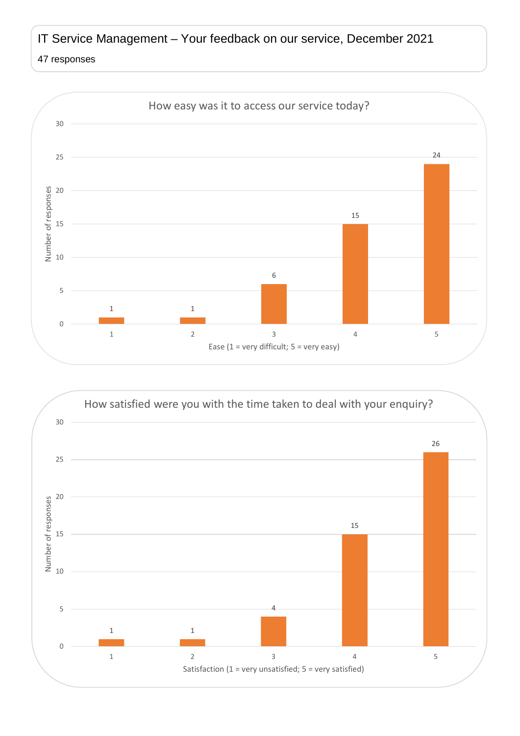## IT Service Management – Your feedback on our service, December 2021

## responses



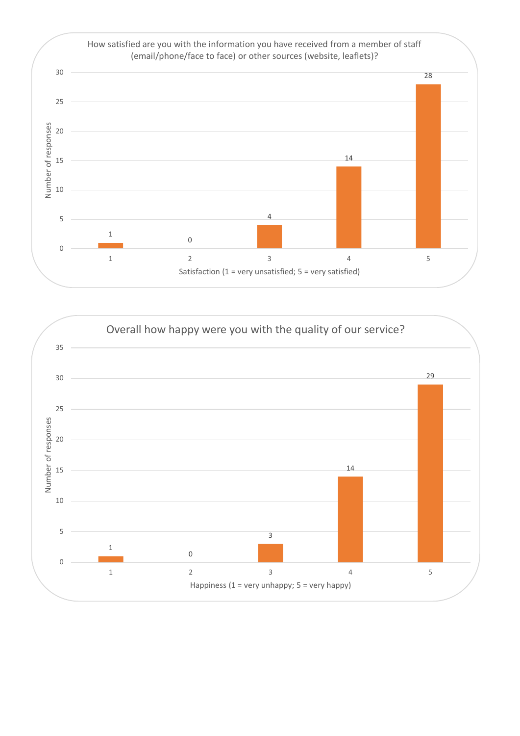